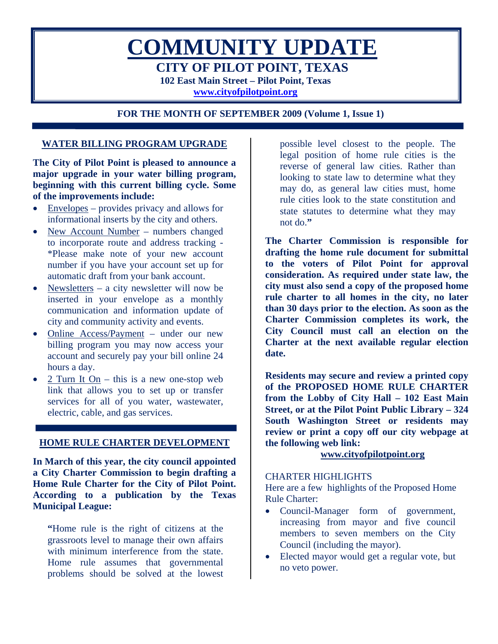

**FOR THE MONTH OF SEPTEMBER 2009 (Volume 1, Issue 1)** 

# **WATER BILLING PROGRAM UPGRADE**

**The City of Pilot Point is pleased to announce a major upgrade in your water billing program, beginning with this current billing cycle. Some of the improvements include:** 

- Envelopes provides privacy and allows for informational inserts by the city and others.
- New Account Number numbers changed to incorporate route and address tracking - \*Please make note of your new account number if you have your account set up for automatic draft from your bank account.
- Newsletters a city newsletter will now be inserted in your envelope as a monthly communication and information update of city and community activity and events.
- Online Access/Payment under our new billing program you may now access your account and securely pay your bill online 24 hours a day.
- $2$  Turn It On this is a new one-stop web link that allows you to set up or transfer services for all of you water, wastewater, electric, cable, and gas services.

## **HOME RULE CHARTER DEVELOPMENT**

**In March of this year, the city council appointed a City Charter Commission to begin drafting a Home Rule Charter for the City of Pilot Point. According to a publication by the Texas Municipal League:** 

**"**Home rule is the right of citizens at the grassroots level to manage their own affairs with minimum interference from the state. Home rule assumes that governmental problems should be solved at the lowest

possible level closest to the people. The legal position of home rule cities is the reverse of general law cities. Rather than looking to state law to determine what they may do, as general law cities must, home rule cities look to the state constitution and state statutes to determine what they may not do.**"** 

**The Charter Commission is responsible for drafting the home rule document for submittal to the voters of Pilot Point for approval consideration. As required under state law, the city must also send a copy of the proposed home rule charter to all homes in the city, no later than 30 days prior to the election. As soon as the Charter Commission completes its work, the City Council must call an election on the Charter at the next available regular election date.** 

**Residents may secure and review a printed copy of the PROPOSED HOME RULE CHARTER from the Lobby of City Hall – 102 East Main Street, or at the Pilot Point Public Library – 324 South Washington Street or residents may review or print a copy off our city webpage at the following web link:** 

## **www.cityofpilotpoint.org**

#### CHARTER HIGHLIGHTS

Here are a few highlights of the Proposed Home Rule Charter:

- Council-Manager form of government, increasing from mayor and five council members to seven members on the City Council (including the mayor).
- Elected mayor would get a regular vote, but no veto power.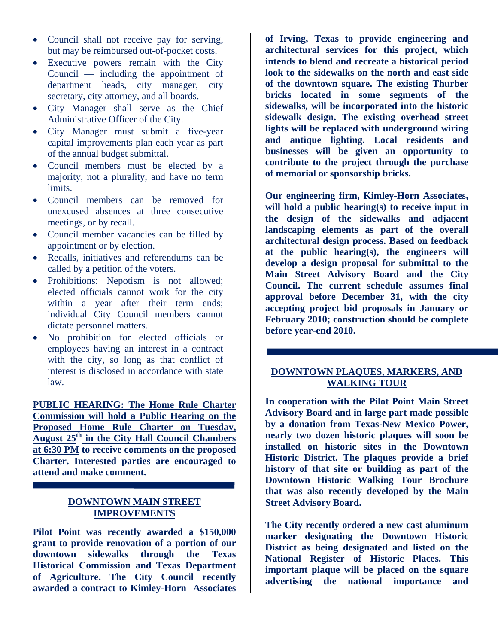- Council shall not receive pay for serving, but may be reimbursed out-of-pocket costs.
- Executive powers remain with the City Council — including the appointment of department heads, city manager, city secretary, city attorney, and all boards.
- City Manager shall serve as the Chief Administrative Officer of the City.
- City Manager must submit a five-year capital improvements plan each year as part of the annual budget submittal.
- Council members must be elected by a majority, not a plurality, and have no term limits.
- Council members can be removed for unexcused absences at three consecutive meetings, or by recall.
- Council member vacancies can be filled by appointment or by election.
- Recalls, initiatives and referendums can be called by a petition of the voters.
- Prohibitions: Nepotism is not allowed; elected officials cannot work for the city within a year after their term ends; individual City Council members cannot dictate personnel matters.
- No prohibition for elected officials or employees having an interest in a contract with the city, so long as that conflict of interest is disclosed in accordance with state law.

**PUBLIC HEARING: The Home Rule Charter Commission will hold a Public Hearing on the Proposed Home Rule Charter on Tuesday, August 25th in the City Hall Council Chambers at 6:30 PM to receive comments on the proposed Charter. Interested parties are encouraged to attend and make comment.** 

# **DOWNTOWN MAIN STREET IMPROVEMENTS**

**Pilot Point was recently awarded a \$150,000 grant to provide renovation of a portion of our downtown sidewalks through the Texas Historical Commission and Texas Department of Agriculture. The City Council recently awarded a contract to Kimley-Horn Associates** 

**of Irving, Texas to provide engineering and architectural services for this project, which intends to blend and recreate a historical period look to the sidewalks on the north and east side of the downtown square. The existing Thurber bricks located in some segments of the sidewalks, will be incorporated into the historic sidewalk design. The existing overhead street lights will be replaced with underground wiring and antique lighting. Local residents and businesses will be given an opportunity to contribute to the project through the purchase of memorial or sponsorship bricks.** 

**Our engineering firm, Kimley-Horn Associates, will hold a public hearing(s) to receive input in the design of the sidewalks and adjacent landscaping elements as part of the overall architectural design process. Based on feedback at the public hearing(s), the engineers will develop a design proposal for submittal to the Main Street Advisory Board and the City Council. The current schedule assumes final approval before December 31, with the city accepting project bid proposals in January or February 2010; construction should be complete before year-end 2010.** 

## **DOWNTOWN PLAQUES, MARKERS, AND WALKING TOUR**

**In cooperation with the Pilot Point Main Street Advisory Board and in large part made possible by a donation from Texas-New Mexico Power, nearly two dozen historic plaques will soon be installed on historic sites in the Downtown Historic District. The plaques provide a brief history of that site or building as part of the Downtown Historic Walking Tour Brochure that was also recently developed by the Main Street Advisory Board.** 

**The City recently ordered a new cast aluminum marker designating the Downtown Historic District as being designated and listed on the National Register of Historic Places. This important plaque will be placed on the square advertising the national importance and**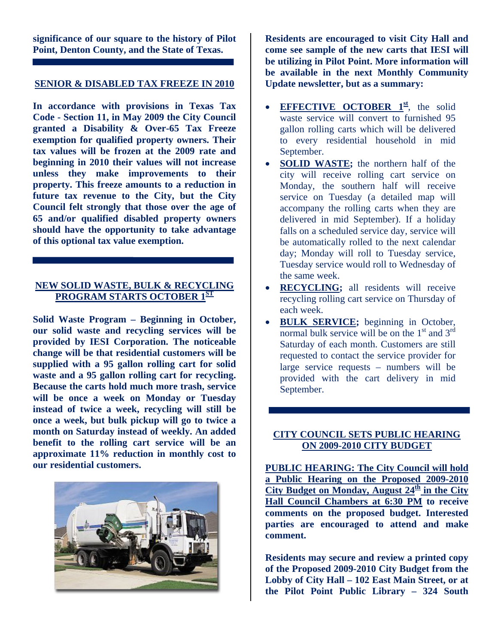**significance of our square to the history of Pilot Point, Denton County, and the State of Texas.** 

#### **SENIOR & DISABLED TAX FREEZE IN 2010**

**In accordance with provisions in Texas Tax Code - Section 11, in May 2009 the City Council granted a Disability & Over-65 Tax Freeze exemption for qualified property owners. Their tax values will be frozen at the 2009 rate and beginning in 2010 their values will not increase unless they make improvements to their property. This freeze amounts to a reduction in future tax revenue to the City, but the City Council felt strongly that those over the age of 65 and/or qualified disabled property owners should have the opportunity to take advantage of this optional tax value exemption.** 

## **NEW SOLID WASTE, BULK & RECYCLING PROGRAM STARTS OCTOBER 1ST**

**Solid Waste Program – Beginning in October, our solid waste and recycling services will be provided by IESI Corporation. The noticeable change will be that residential customers will be supplied with a 95 gallon rolling cart for solid waste and a 95 gallon rolling cart for recycling. Because the carts hold much more trash, service will be once a week on Monday or Tuesday instead of twice a week, recycling will still be once a week, but bulk pickup will go to twice a month on Saturday instead of weekly. An added benefit to the rolling cart service will be an approximate 11% reduction in monthly cost to our residential customers.** 



**Residents are encouraged to visit City Hall and come see sample of the new carts that IESI will be utilizing in Pilot Point. More information will be available in the next Monthly Community Update newsletter, but as a summary:** 

- **EFFECTIVE OCTOBER 1<sup>st</sup>**, the solid waste service will convert to furnished 95 gallon rolling carts which will be delivered to every residential household in mid September.
- **SOLID WASTE;** the northern half of the city will receive rolling cart service on Monday, the southern half will receive service on Tuesday (a detailed map will accompany the rolling carts when they are delivered in mid September). If a holiday falls on a scheduled service day, service will be automatically rolled to the next calendar day; Monday will roll to Tuesday service, Tuesday service would roll to Wednesday of the same week.
- **RECYCLING;** all residents will receive recycling rolling cart service on Thursday of each week.
- **BULK SERVICE;** beginning in October, normal bulk service will be on the  $1<sup>st</sup>$  and  $3<sup>rd</sup>$ Saturday of each month. Customers are still requested to contact the service provider for large service requests – numbers will be provided with the cart delivery in mid September.

# **CITY COUNCIL SETS PUBLIC HEARING ON 2009-2010 CITY BUDGET**

**PUBLIC HEARING: The City Council will hold a Public Hearing on the Proposed 2009-2010**  City Budget on Monday, August  $24<sup>th</sup>$  in the City **Hall Council Chambers at 6:30 PM to receive comments on the proposed budget. Interested parties are encouraged to attend and make comment.** 

**Residents may secure and review a printed copy of the Proposed 2009-2010 City Budget from the Lobby of City Hall – 102 East Main Street, or at the Pilot Point Public Library – 324 South**